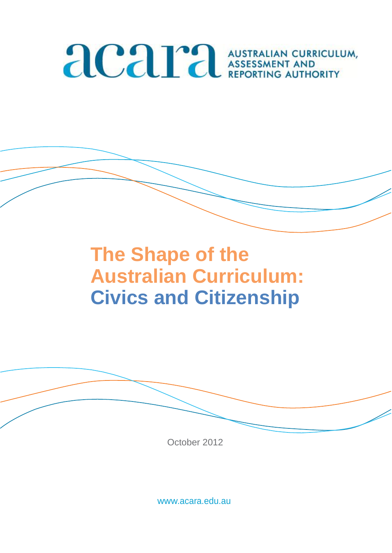# **ACAPA AUSTRALIAN CURRICULUM,**

# **The Shape of the Australian Curriculum: Civics and Citizenship**



October 2012

[www.acara.edu.au](http://www.acara.edu.au/)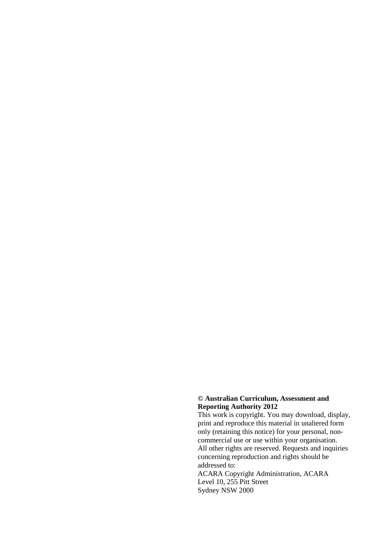#### **© Australian Curriculum, Assessment and Reporting Authority 2012**

This work is copyright. You may download, display, print and reproduce this material in unaltered form only (retaining this notice) for your personal, noncommercial use or use within your organisation. All other rights are reserved. Requests and inquiries concerning reproduction and rights should be addressed to:

ACARA Copyright Administration, ACARA Level 10, 255 Pitt Street Sydney NSW 2000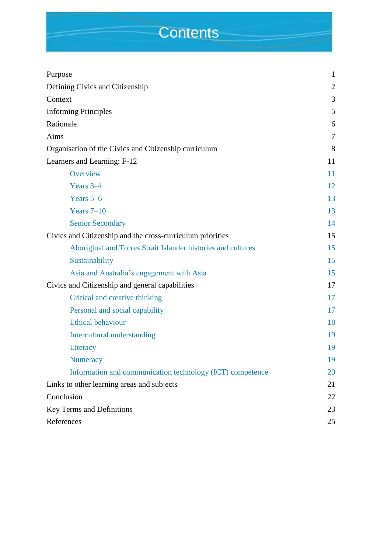## **Contents**

| Purpose                                                      | $\mathbf{1}$   |
|--------------------------------------------------------------|----------------|
| Defining Civics and Citizenship                              | $\overline{2}$ |
| Context                                                      | 3              |
| <b>Informing Principles</b>                                  | 5              |
| Rationale                                                    | 6              |
| Aims                                                         | 7              |
| Organisation of the Civics and Citizenship curriculum        | 8              |
| Learners and Learning: F-12                                  | 11             |
| Overview                                                     | 11             |
| Years 3-4                                                    | 12             |
| Years $5-6$                                                  | 13             |
| Years $7-10$                                                 | 13             |
| <b>Senior Secondary</b>                                      | 14             |
| Civics and Citizenship and the cross-curriculum priorities   |                |
| Aboriginal and Torres Strait Islander histories and cultures | 15             |
| Sustainability                                               | 15             |
| Asia and Australia's engagement with Asia                    | 15             |
| Civics and Citizenship and general capabilities              |                |
| Critical and creative thinking                               | 17             |
| Personal and social capability                               | 17             |
| <b>Ethical behaviour</b>                                     | 18             |
| Intercultural understanding                                  | 19             |
| Literacy                                                     | 19             |
| <b>Numeracy</b>                                              | 19             |
| Information and communication technology (ICT) competence    | 20             |
| Links to other learning areas and subjects                   | 21             |
| Conclusion                                                   | 22             |
| Key Terms and Definitions                                    |                |
| References                                                   | 25             |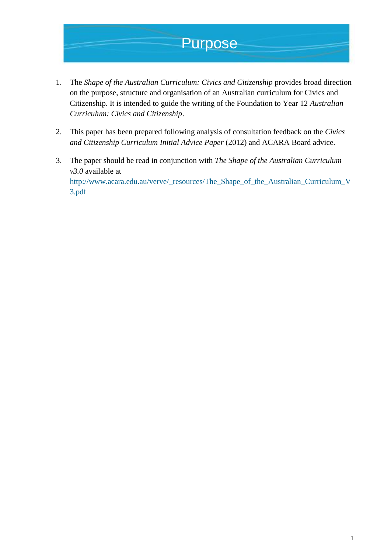### Purpose

- 1. The *Shape of the Australian Curriculum: Civics and Citizenship* provides broad direction on the purpose, structure and organisation of an Australian curriculum for Civics and Citizenship. It is intended to guide the writing of the Foundation to Year 12 *Australian Curriculum: Civics and Citizenship*.
- 2. This paper has been prepared following analysis of consultation feedback on the *Civics and Citizenship Curriculum Initial Advice Paper* (2012) and ACARA Board advice.
- 3. The paper should be read in conjunction with *The Shape of the Australian Curriculum v3.0* available at [http://www.acara.edu.au/verve/\\_resources/The\\_Shape\\_of\\_the\\_Australian\\_Curriculum\\_V](http://www.acara.edu.au/verve/_resources/The_Shape_of_the_Australian_Curriculum_V3.pdf) [3.pdf](http://www.acara.edu.au/verve/_resources/The_Shape_of_the_Australian_Curriculum_V3.pdf)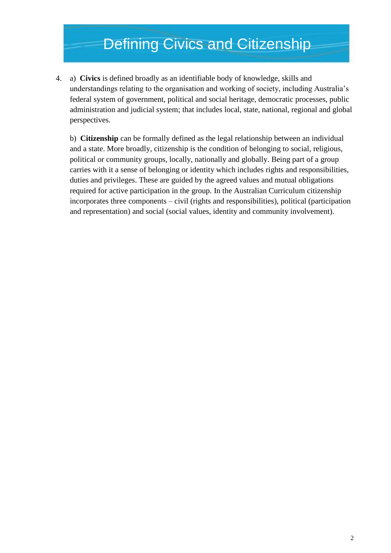### Defining Civics and Citizenship

4. a) **Civics** is defined broadly as an identifiable body of knowledge, skills and understandings relating to the organisation and working of society, including Australia's federal system of government, political and social heritage, democratic processes, public administration and judicial system; that includes local, state, national, regional and global perspectives.

b) **Citizenship** can be formally defined as the legal relationship between an individual and a state. More broadly, citizenship is the condition of belonging to social, religious, political or community groups, locally, nationally and globally. Being part of a group carries with it a sense of belonging or identity which includes rights and responsibilities, duties and privileges. These are guided by the agreed values and mutual obligations required for active participation in the group. In the Australian Curriculum citizenship incorporates three components – civil (rights and responsibilities), political (participation and representation) and social (social values, identity and community involvement).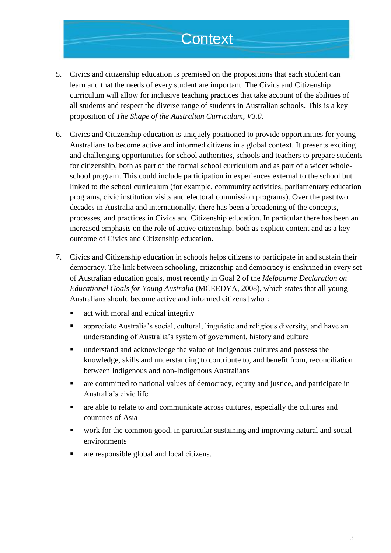### **Context**

- 5. Civics and citizenship education is premised on the propositions that each student can learn and that the needs of every student are important. The Civics and Citizenship curriculum will allow for inclusive teaching practices that take account of the abilities of all students and respect the diverse range of students in Australian schools. This is a key proposition of *The Shape of the Australian Curriculum, V3.0.*
- 6. Civics and Citizenship education is uniquely positioned to provide opportunities for young Australians to become active and informed citizens in a global context. It presents exciting and challenging opportunities for school authorities, schools and teachers to prepare students for citizenship, both as part of the formal school curriculum and as part of a wider wholeschool program. This could include participation in experiences external to the school but linked to the school curriculum (for example, community activities, parliamentary education programs, civic institution visits and electoral commission programs). Over the past two decades in Australia and internationally, there has been a broadening of the concepts, processes, and practices in Civics and Citizenship education. In particular there has been an increased emphasis on the role of active citizenship, both as explicit content and as a key outcome of Civics and Citizenship education.
- 7. Civics and Citizenship education in schools helps citizens to participate in and sustain their democracy. The link between schooling, citizenship and democracy is enshrined in every set of Australian education goals, most recently in Goal 2 of the *Melbourne Declaration on Educational Goals for Young Australia* (MCEEDYA, 2008), which states that all young Australians should become active and informed citizens [who]:
	- **activistive** act with moral and ethical integrity
	- appreciate Australia's social, cultural, linguistic and religious diversity, and have an understanding of Australia's system of government, history and culture
	- understand and acknowledge the value of Indigenous cultures and possess the knowledge, skills and understanding to contribute to, and benefit from, reconciliation between Indigenous and non-Indigenous Australians
	- are committed to national values of democracy, equity and justice, and participate in Australia's civic life
	- are able to relate to and communicate across cultures, especially the cultures and countries of Asia
	- work for the common good, in particular sustaining and improving natural and social environments
	- are responsible global and local citizens.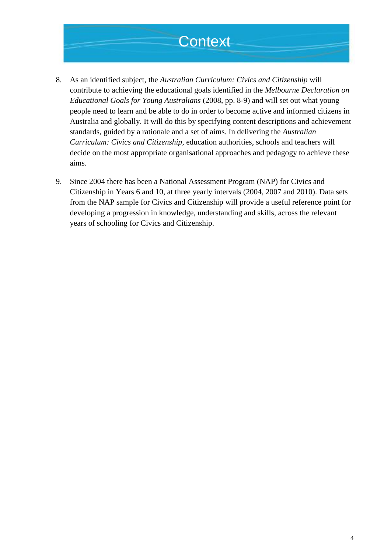### **Context**

- 8. As an identified subject, the *Australian Curriculum: Civics and Citizenship* will contribute to achieving the educational goals identified in the *Melbourne Declaration on Educational Goals for Young Australians* (2008, pp. 8-9) and will set out what young people need to learn and be able to do in order to become active and informed citizens in Australia and globally. It will do this by specifying content descriptions and achievement standards, guided by a rationale and a set of aims. In delivering the *Australian Curriculum: Civics and Citizenship*, education authorities, schools and teachers will decide on the most appropriate organisational approaches and pedagogy to achieve these aims.
- 9. Since 2004 there has been a National Assessment Program (NAP) for Civics and Citizenship in Years 6 and 10, at three yearly intervals (2004, 2007 and 2010). Data sets from the NAP sample for Civics and Citizenship will provide a useful reference point for developing a progression in knowledge, understanding and skills, across the relevant years of schooling for Civics and Citizenship.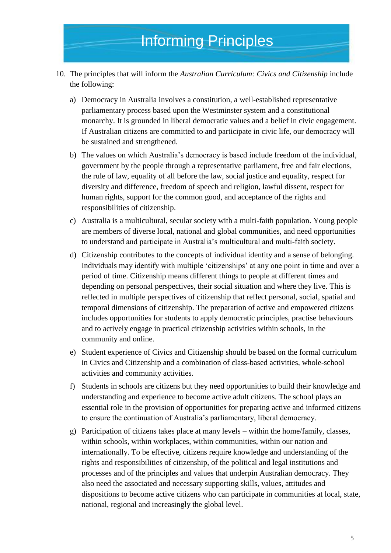- 10. The principles that will inform the *Australian Curriculum: Civics and Citizenship* include the following:
	- a) Democracy in Australia involves a constitution, a well-established representative parliamentary process based upon the Westminster system and a constitutional monarchy. It is grounded in liberal democratic values and a belief in civic engagement. If Australian citizens are committed to and participate in civic life, our democracy will be sustained and strengthened.
	- b) The values on which Australia's democracy is based include freedom of the individual, government by the people through a representative parliament, free and fair elections, the rule of law, equality of all before the law, social justice and equality, respect for diversity and difference, freedom of speech and religion, lawful dissent, respect for human rights, support for the common good, and acceptance of the rights and responsibilities of citizenship.
	- c) Australia is a multicultural, secular society with a multi-faith population. Young people are members of diverse local, national and global communities, and need opportunities to understand and participate in Australia's multicultural and multi-faith society.
	- d) Citizenship contributes to the concepts of individual identity and a sense of belonging. Individuals may identify with multiple 'citizenships' at any one point in time and over a period of time. Citizenship means different things to people at different times and depending on personal perspectives, their social situation and where they live. This is reflected in multiple perspectives of citizenship that reflect personal, social, spatial and temporal dimensions of citizenship. The preparation of active and empowered citizens includes opportunities for students to apply democratic principles, practise behaviours and to actively engage in practical citizenship activities within schools, in the community and online.
	- e) Student experience of Civics and Citizenship should be based on the formal curriculum in Civics and Citizenship and a combination of class-based activities, whole-school activities and community activities.
	- f) Students in schools are citizens but they need opportunities to build their knowledge and understanding and experience to become active adult citizens. The school plays an essential role in the provision of opportunities for preparing active and informed citizens to ensure the continuation of Australia's parliamentary, liberal democracy.
	- g) Participation of citizens takes place at many levels within the home/family, classes, within schools, within workplaces, within communities, within our nation and internationally. To be effective, citizens require knowledge and understanding of the rights and responsibilities of citizenship, of the political and legal institutions and processes and of the principles and values that underpin Australian democracy. They also need the associated and necessary supporting skills, values, attitudes and dispositions to become active citizens who can participate in communities at local, state, national, regional and increasingly the global level.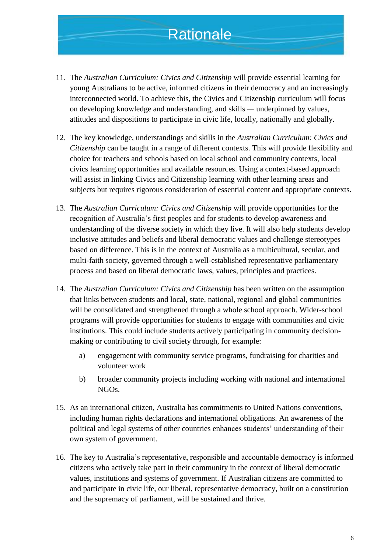### **Rationale**

- 11. The *Australian Curriculum: Civics and Citizenship* will provide essential learning for young Australians to be active, informed citizens in their democracy and an increasingly interconnected world. To achieve this, the Civics and Citizenship curriculum will focus on developing knowledge and understanding, and skills *—* underpinned by values, attitudes and dispositions to participate in civic life, locally, nationally and globally.
- 12. The key knowledge, understandings and skills in the *Australian Curriculum: Civics and Citizenship* can be taught in a range of different contexts. This will provide flexibility and choice for teachers and schools based on local school and community contexts, local civics learning opportunities and available resources. Using a context-based approach will assist in linking Civics and Citizenship learning with other learning areas and subjects but requires rigorous consideration of essential content and appropriate contexts.
- 13. The *Australian Curriculum: Civics and Citizenship* will provide opportunities for the recognition of Australia's first peoples and for students to develop awareness and understanding of the diverse society in which they live. It will also help students develop inclusive attitudes and beliefs and liberal democratic values and challenge stereotypes based on difference. This is in the context of Australia as a multicultural, secular, and multi-faith society, governed through a well-established representative parliamentary process and based on liberal democratic laws, values, principles and practices.
- 14. The *Australian Curriculum: Civics and Citizenship* has been written on the assumption that links between students and local, state, national, regional and global communities will be consolidated and strengthened through a whole school approach. Wider-school programs will provide opportunities for students to engage with communities and civic institutions. This could include students actively participating in community decisionmaking or contributing to civil society through, for example:
	- a) engagement with community service programs, fundraising for charities and volunteer work
	- b) broader community projects including working with national and international NGOs.
- 15. As an international citizen, Australia has commitments to United Nations conventions, including human rights declarations and international obligations. An awareness of the political and legal systems of other countries enhances students' understanding of their own system of government.
- 16. The key to Australia's representative, responsible and accountable democracy is informed citizens who actively take part in their community in the context of liberal democratic values, institutions and systems of government. If Australian citizens are committed to and participate in civic life, our liberal, representative democracy, built on a constitution and the supremacy of parliament, will be sustained and thrive.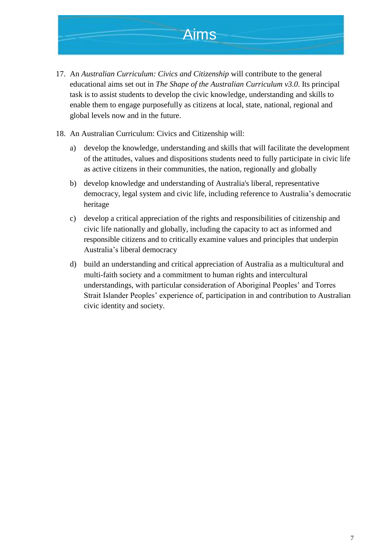

- 17. An *Australian Curriculum: Civics and Citizenship* will contribute to the general educational aims set out in *The Shape of the Australian Curriculum v3.0*. Its principal task is to assist students to develop the civic knowledge, understanding and skills to enable them to engage purposefully as citizens at local, state, national, regional and global levels now and in the future.
- 18. An Australian Curriculum: Civics and Citizenship will:
	- a) develop the knowledge, understanding and skills that will facilitate the development of the attitudes, values and dispositions students need to fully participate in civic life as active citizens in their communities, the nation, regionally and globally
	- b) develop knowledge and understanding of Australia's liberal, representative democracy, legal system and civic life, including reference to Australia's democratic heritage
	- c) develop a critical appreciation of the rights and responsibilities of citizenship and civic life nationally and globally, including the capacity to act as informed and responsible citizens and to critically examine values and principles that underpin Australia's liberal democracy
	- d) build an understanding and critical appreciation of Australia as a multicultural and multi-faith society and a commitment to human rights and intercultural understandings, with particular consideration of Aboriginal Peoples' and Torres Strait Islander Peoples' experience of, participation in and contribution to Australian civic identity and society.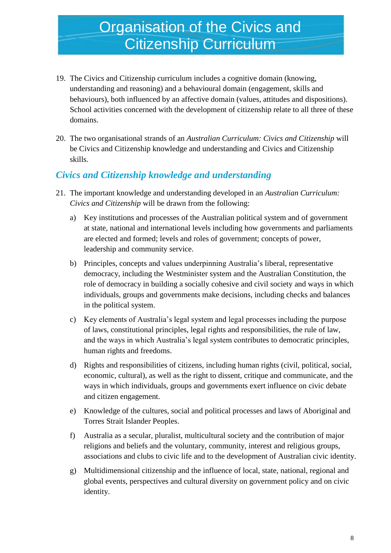### **Organisation of the Civics and** Citizenship Curriculum

- 19. The Civics and Citizenship curriculum includes a cognitive domain (knowing, understanding and reasoning) and a behavioural domain (engagement, skills and behaviours), both influenced by an affective domain (values, attitudes and dispositions). School activities concerned with the development of citizenship relate to all three of these domains.
- 20. The two organisational strands of an *Australian Curriculum: Civics and Citizenship* will be Civics and Citizenship knowledge and understanding and Civics and Citizenship skills.

#### *Civics and Citizenship knowledge and understanding*

- 21. The important knowledge and understanding developed in an *Australian Curriculum: Civics and Citizenship* will be drawn from the following:
	- a) Key institutions and processes of the Australian political system and of government at state, national and international levels including how governments and parliaments are elected and formed; levels and roles of government; concepts of power, leadership and community service.
	- b) Principles, concepts and values underpinning Australia's liberal, representative democracy, including the Westminister system and the Australian Constitution, the role of democracy in building a socially cohesive and civil society and ways in which individuals, groups and governments make decisions, including checks and balances in the political system.
	- c) Key elements of Australia's legal system and legal processes including the purpose of laws, constitutional principles, legal rights and responsibilities, the rule of law, and the ways in which Australia's legal system contributes to democratic principles, human rights and freedoms.
	- d) Rights and responsibilities of citizens, including human rights (civil, political, social, economic, cultural), as well as the right to dissent, critique and communicate, and the ways in which individuals, groups and governments exert influence on civic debate and citizen engagement.
	- e) Knowledge of the cultures, social and political processes and laws of Aboriginal and Torres Strait Islander Peoples.
	- f) Australia as a secular, pluralist, multicultural society and the contribution of major religions and beliefs and the voluntary, community, interest and religious groups, associations and clubs to civic life and to the development of Australian civic identity.
	- g) Multidimensional citizenship and the influence of local, state, national, regional and global events, perspectives and cultural diversity on government policy and on civic identity.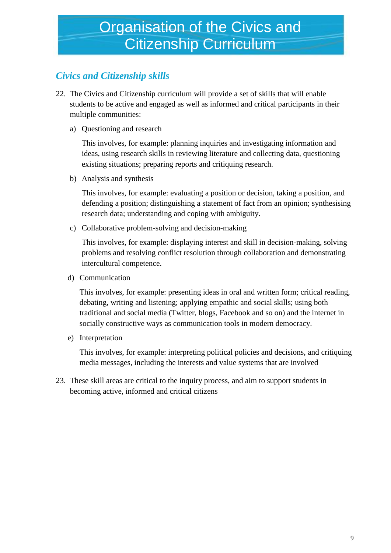### *Civics and Citizenship skills*

- 22. The Civics and Citizenship curriculum will provide a set of skills that will enable students to be active and engaged as well as informed and critical participants in their multiple communities:
	- a) Questioning and research

This involves, for example: planning inquiries and investigating information and ideas, using research skills in reviewing literature and collecting data, questioning existing situations; preparing reports and critiquing research.

b) Analysis and synthesis

This involves, for example: evaluating a position or decision, taking a position, and defending a position; distinguishing a statement of fact from an opinion; synthesising research data; understanding and coping with ambiguity.

c) Collaborative problem-solving and decision-making

This involves, for example: displaying interest and skill in decision-making, solving problems and resolving conflict resolution through collaboration and demonstrating intercultural competence.

d) Communication

This involves, for example: presenting ideas in oral and written form; critical reading, debating, writing and listening; applying empathic and social skills; using both traditional and social media (Twitter, blogs, Facebook and so on) and the internet in socially constructive ways as communication tools in modern democracy.

e) Interpretation

This involves, for example: interpreting political policies and decisions, and critiquing media messages, including the interests and value systems that are involved

23. These skill areas are critical to the inquiry process, and aim to support students in becoming active, informed and critical citizens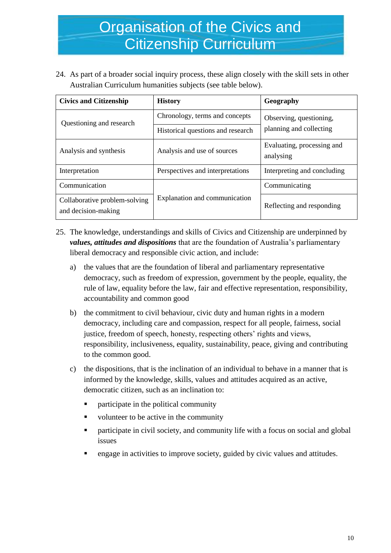### Organisation of the Civics and Citizenship Curriculum

24. As part of a broader social inquiry process, these align closely with the skill sets in other Australian Curriculum humanities subjects (see table below).

| <b>Civics and Citizenship</b>                        | <b>History</b>                    | Geography                                          |
|------------------------------------------------------|-----------------------------------|----------------------------------------------------|
| Questioning and research                             | Chronology, terms and concepts    | Observing, questioning,<br>planning and collecting |
|                                                      | Historical questions and research |                                                    |
| Analysis and synthesis                               | Analysis and use of sources       | Evaluating, processing and<br>analysing            |
| Interpretation                                       | Perspectives and interpretations  | Interpreting and concluding                        |
| Communication                                        |                                   | Communicating                                      |
| Collaborative problem-solving<br>and decision-making | Explanation and communication     | Reflecting and responding                          |

- 25. The knowledge, understandings and skills of Civics and Citizenship are underpinned by *values, attitudes and dispositions* that are the foundation of Australia's parliamentary liberal democracy and responsible civic action, and include:
	- a) the values that are the foundation of liberal and parliamentary representative democracy, such as freedom of expression, government by the people, equality, the rule of law, equality before the law, fair and effective representation, responsibility, accountability and common good
	- b) the commitment to civil behaviour, civic duty and human rights in a modern democracy, including care and compassion, respect for all people, fairness, social justice, freedom of speech, honesty, respecting others' rights and views, responsibility, inclusiveness, equality, sustainability, peace, giving and contributing to the common good.
	- c) the dispositions, that is the inclination of an individual to behave in a manner that is informed by the knowledge, skills, values and attitudes acquired as an active, democratic citizen, such as an inclination to:
		- participate in the political community
		- volunteer to be active in the community
		- **•** participate in civil society, and community life with a focus on social and global issues
		- engage in activities to improve society, guided by civic values and attitudes.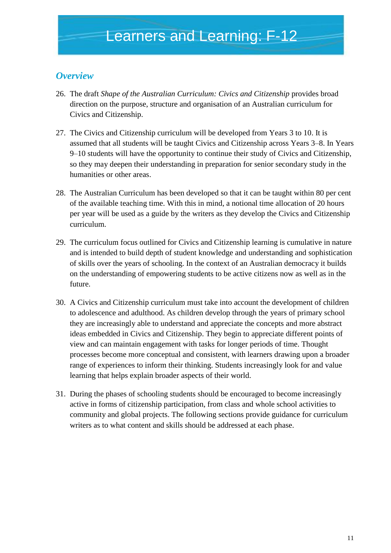#### *Overview*

- 26. The draft *Shape of the Australian Curriculum: Civics and Citizenship* provides broad direction on the purpose, structure and organisation of an Australian curriculum for Civics and Citizenship.
- 27. The Civics and Citizenship curriculum will be developed from Years 3 to 10. It is assumed that all students will be taught Civics and Citizenship across Years 3–8. In Years 9–10 students will have the opportunity to continue their study of Civics and Citizenship, so they may deepen their understanding in preparation for senior secondary study in the humanities or other areas.
- 28. The Australian Curriculum has been developed so that it can be taught within 80 per cent of the available teaching time. With this in mind, a notional time allocation of 20 hours per year will be used as a guide by the writers as they develop the Civics and Citizenship curriculum.
- 29. The curriculum focus outlined for Civics and Citizenship learning is cumulative in nature and is intended to build depth of student knowledge and understanding and sophistication of skills over the years of schooling. In the context of an Australian democracy it builds on the understanding of empowering students to be active citizens now as well as in the future.
- 30. A Civics and Citizenship curriculum must take into account the development of children to adolescence and adulthood. As children develop through the years of primary school they are increasingly able to understand and appreciate the concepts and more abstract ideas embedded in Civics and Citizenship. They begin to appreciate different points of view and can maintain engagement with tasks for longer periods of time. Thought processes become more conceptual and consistent, with learners drawing upon a broader range of experiences to inform their thinking. Students increasingly look for and value learning that helps explain broader aspects of their world.
- 31. During the phases of schooling students should be encouraged to become increasingly active in forms of citizenship participation, from class and whole school activities to community and global projects. The following sections provide guidance for curriculum writers as to what content and skills should be addressed at each phase.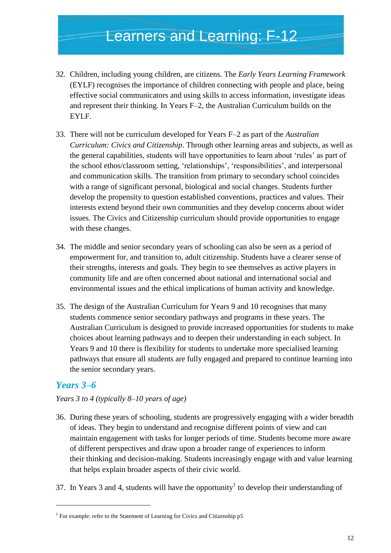- 32. Children, including young children, are citizens. The *Early Years Learning Framework*  (EYLF) recognises the importance of children connecting with people and place, being effective social communicators and using skills to access information, investigate ideas and represent their thinking. In Years F*–*2, the Australian Curriculum builds on the EYLF.
- 33. There will not be curriculum developed for Years F*–*2 as part of the *Australian Curriculum: Civics and Citizenship*. Through other learning areas and subjects, as well as the general capabilities, students will have opportunities to learn about 'rules' as part of the school ethos/classroom setting, 'relationships', 'responsibilities', and interpersonal and communication skills. The transition from primary to secondary school coincides with a range of significant personal, biological and social changes. Students further develop the propensity to question established conventions, practices and values. Their interests extend beyond their own communities and they develop concerns about wider issues. The Civics and Citizenship curriculum should provide opportunities to engage with these changes.
- 34. The middle and senior secondary years of schooling can also be seen as a period of empowerment for, and transition to, adult citizenship. Students have a clearer sense of their strengths, interests and goals. They begin to see themselves as active players in community life and are often concerned about national and international social and environmental issues and the ethical implications of human activity and knowledge.
- 35. The design of the Australian Curriculum for Years 9 and 10 recognises that many students commence senior secondary pathways and programs in these years. The Australian Curriculum is designed to provide increased opportunities for students to make choices about learning pathways and to deepen their understanding in each subject. In Years 9 and 10 there is flexibility for students to undertake more specialised learning pathways that ensure all students are fully engaged and prepared to continue learning into the senior secondary years.

#### *Years 3–6*

1

#### *Years 3 to 4 (typically 8–10 years of age)*

- 36. During these years of schooling, students are progressively engaging with a wider breadth of ideas. They begin to understand and recognise different points of view and can maintain engagement with tasks for longer periods of time. Students become more aware of different perspectives and draw upon a broader range of experiences to inform their thinking and decision-making. Students increasingly engage with and value learning that helps explain broader aspects of their civic world.
- 37. In Years 3 and 4, students will have the opportunity<sup>1</sup> to develop their understanding of

<sup>&</sup>lt;sup>1</sup> For example: refer to the Statement of Learning for Civics and Citizenship p5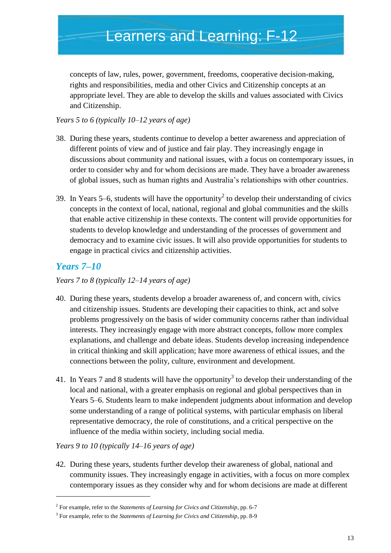concepts of law, rules, power, government, freedoms, cooperative decision-making, rights and responsibilities, media and other Civics and Citizenship concepts at an appropriate level. They are able to develop the skills and values associated with Civics and Citizenship.

*Years 5 to 6 (typically 10–12 years of age)* 

- 38. During these years, students continue to develop a better awareness and appreciation of different points of view and of justice and fair play. They increasingly engage in discussions about community and national issues, with a focus on contemporary issues, in order to consider why and for whom decisions are made. They have a broader awareness of global issues, such as human rights and Australia's relationships with other countries.
- 39. In Years 5–6, students will have the opportunity<sup>2</sup> to develop their understanding of civics concepts in the context of local, national, regional and global communities and the skills that enable active citizenship in these contexts. The content will provide opportunities for students to develop knowledge and understanding of the processes of government and democracy and to examine civic issues. It will also provide opportunities for students to engage in practical civics and citizenship activities.

#### *Years 7–10*

-

*Years 7 to 8 (typically 12–14 years of age)* 

- 40. During these years, students develop a broader awareness of, and concern with, civics and citizenship issues. Students are developing their capacities to think, act and solve problems progressively on the basis of wider community concerns rather than individual interests. They increasingly engage with more abstract concepts, follow more complex explanations, and challenge and debate ideas. Students develop increasing independence in critical thinking and skill application; have more awareness of ethical issues, and the connections between the polity, culture, environment and development.
- 41. In Years 7 and 8 students will have the opportunity<sup>3</sup> to develop their understanding of the local and national, with a greater emphasis on regional and global perspectives than in Years 5–6. Students learn to make independent judgments about information and develop some understanding of a range of political systems, with particular emphasis on liberal representative democracy, the role of constitutions, and a critical perspective on the influence of the media within society, including social media.

*Years 9 to 10 (typically 14–16 years of age)* 

42. During these years, students further develop their awareness of global, national and community issues. They increasingly engage in activities, with a focus on more complex contemporary issues as they consider why and for whom decisions are made at different

<sup>2</sup> For example, refer to the *Statements of Learning for Civics and Citizenship*, pp. 6-7

<sup>3</sup> For example, refer to the *Statements of Learning for Civics and Citizenship*, pp. 8-9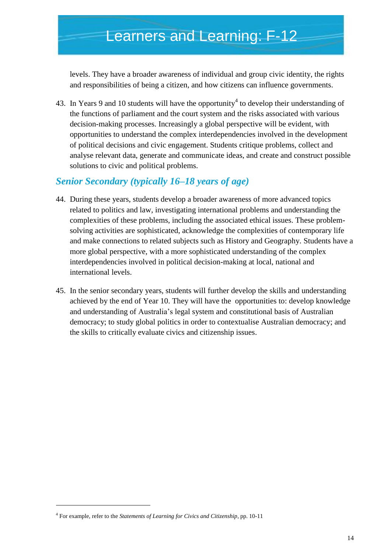levels. They have a broader awareness of individual and group civic identity, the rights and responsibilities of being a citizen, and how citizens can influence governments.

43. In Years 9 and 10 students will have the opportunity<sup>4</sup> to develop their understanding of the functions of parliament and the court system and the risks associated with various decision-making processes. Increasingly a global perspective will be evident, with opportunities to understand the complex interdependencies involved in the development of political decisions and civic engagement. Students critique problems, collect and analyse relevant data, generate and communicate ideas, and create and construct possible solutions to civic and political problems.

#### *Senior Secondary (typically 16–18 years of age)*

- 44. During these years, students develop a broader awareness of more advanced topics related to politics and law, investigating international problems and understanding the complexities of these problems, including the associated ethical issues. These problemsolving activities are sophisticated, acknowledge the complexities of contemporary life and make connections to related subjects such as History and Geography. Students have a more global perspective, with a more sophisticated understanding of the complex interdependencies involved in political decision-making at local, national and international levels.
- 45. In the senior secondary years, students will further develop the skills and understanding achieved by the end of Year 10. They will have the opportunities to: develop knowledge and understanding of Australia's legal system and constitutional basis of Australian democracy; to study global politics in order to contextualise Australian democracy; and the skills to critically evaluate civics and citizenship issues.

1

<sup>4</sup> For example, refer to the *Statements of Learning for Civics and Citizenship*, pp. 10-11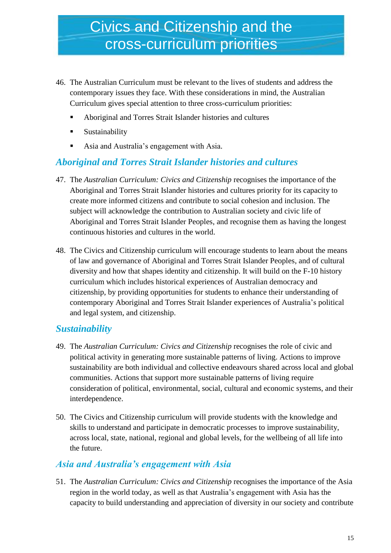- 46. The Australian Curriculum must be relevant to the lives of students and address the contemporary issues they face. With these considerations in mind, the Australian Curriculum gives special attention to three cross-curriculum priorities:
	- Aboriginal and Torres Strait Islander histories and cultures
	- **Sustainability**
	- Asia and Australia's engagement with Asia.

#### *Aboriginal and Torres Strait Islander histories and cultures*

- 47. The *Australian Curriculum: Civics and Citizenship* recognises the importance of the Aboriginal and Torres Strait Islander histories and cultures priority for its capacity to create more informed citizens and contribute to social cohesion and inclusion. The subject will acknowledge the contribution to Australian society and civic life of Aboriginal and Torres Strait Islander Peoples, and recognise them as having the longest continuous histories and cultures in the world.
- 48. The Civics and Citizenship curriculum will encourage students to learn about the means of law and governance of Aboriginal and Torres Strait Islander Peoples, and of cultural diversity and how that shapes identity and citizenship. It will build on the F-10 history curriculum which includes historical experiences of Australian democracy and citizenship, by providing opportunities for students to enhance their understanding of contemporary Aboriginal and Torres Strait Islander experiences of Australia's political and legal system, and citizenship.

#### *Sustainability*

- 49. The *Australian Curriculum: Civics and Citizenship* recognises the role of civic and political activity in generating more sustainable patterns of living. Actions to improve sustainability are both individual and collective endeavours shared across local and global communities. Actions that support more sustainable patterns of living require consideration of political, environmental, social, cultural and economic systems, and their interdependence.
- 50. The Civics and Citizenship curriculum will provide students with the knowledge and skills to understand and participate in democratic processes to improve sustainability, across local, state, national, regional and global levels, for the wellbeing of all life into the future.

#### *Asia and Australia's engagement with Asia*

51. The *Australian Curriculum: Civics and Citizenship* recognises the importance of the Asia region in the world today, as well as that Australia's engagement with Asia has the capacity to build understanding and appreciation of diversity in our society and contribute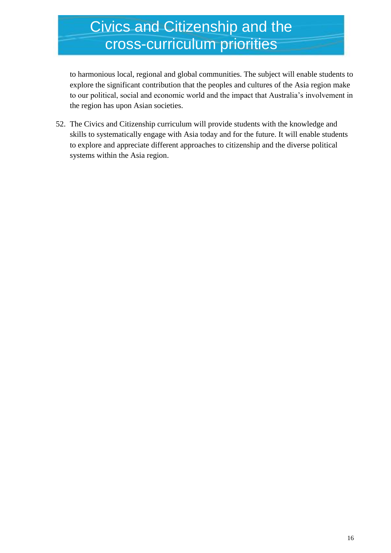### Civics and Citizenship and the cross-curriculum priorities

to harmonious local, regional and global communities. The subject will enable students to explore the significant contribution that the peoples and cultures of the Asia region make to our political, social and economic world and the impact that Australia's involvement in the region has upon Asian societies.

52. The Civics and Citizenship curriculum will provide students with the knowledge and skills to systematically engage with Asia today and for the future. It will enable students to explore and appreciate different approaches to citizenship and the diverse political systems within the Asia region.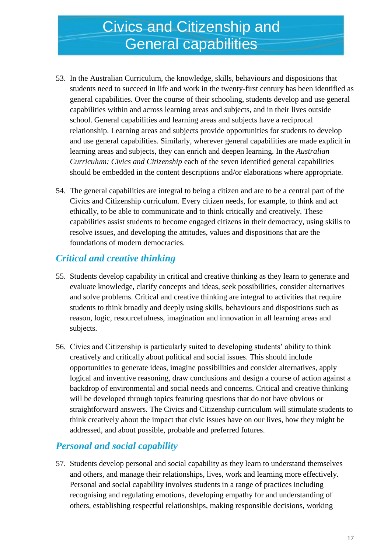### Civics and Citizenship and General capabilities

- 53. In the Australian Curriculum, the knowledge, skills, behaviours and dispositions that students need to succeed in life and work in the twenty-first century has been identified as general capabilities. Over the course of their schooling, students develop and use general capabilities within and across learning areas and subjects, and in their lives outside school. General capabilities and learning areas and subjects have a reciprocal relationship. Learning areas and subjects provide opportunities for students to develop and use general capabilities. Similarly, wherever general capabilities are made explicit in learning areas and subjects, they can enrich and deepen learning. In the *Australian Curriculum: Civics and Citizenship* each of the seven identified general capabilities should be embedded in the content descriptions and/or elaborations where appropriate.
- 54. The general capabilities are integral to being a citizen and are to be a central part of the Civics and Citizenship curriculum. Every citizen needs, for example, to think and act ethically, to be able to communicate and to think critically and creatively. These capabilities assist students to become engaged citizens in their democracy, using skills to resolve issues, and developing the attitudes, values and dispositions that are the foundations of modern democracies.

#### *Critical and creative thinking*

- 55. Students develop capability in critical and creative thinking as they learn to generate and evaluate knowledge, clarify concepts and ideas, seek possibilities, consider alternatives and solve problems. Critical and creative thinking are integral to activities that require students to think broadly and deeply using skills, behaviours and dispositions such as reason, logic, resourcefulness, imagination and innovation in all learning areas and subjects.
- 56. Civics and Citizenship is particularly suited to developing students' ability to think creatively and critically about political and social issues. This should include opportunities to generate ideas, imagine possibilities and consider alternatives, apply logical and inventive reasoning, draw conclusions and design a course of action against a backdrop of environmental and social needs and concerns. Critical and creative thinking will be developed through topics featuring questions that do not have obvious or straightforward answers. The Civics and Citizenship curriculum will stimulate students to think creatively about the impact that civic issues have on our lives, how they might be addressed, and about possible, probable and preferred futures.

#### *Personal and social capability*

57. Students develop personal and social capability as they learn to understand themselves and others, and manage their relationships, lives, work and learning more effectively. Personal and social capability involves students in a range of practices including recognising and regulating emotions, developing empathy for and understanding of others, establishing respectful relationships, making responsible decisions, working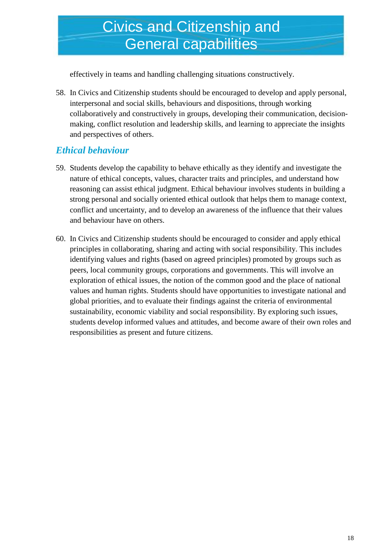### Civics and Citizenship and General capabilities

effectively in teams and handling challenging situations constructively.

58. In Civics and Citizenship students should be encouraged to develop and apply personal, interpersonal and social skills, behaviours and dispositions, through working collaboratively and constructively in groups, developing their communication, decisionmaking, conflict resolution and leadership skills, and learning to appreciate the insights and perspectives of others.

#### *Ethical behaviour*

- 59. Students develop the capability to behave ethically as they identify and investigate the nature of ethical concepts, values, character traits and principles, and understand how reasoning can assist ethical judgment. Ethical behaviour involves students in building a strong personal and socially oriented ethical outlook that helps them to manage context, conflict and uncertainty, and to develop an awareness of the influence that their values and behaviour have on others.
- 60. In Civics and Citizenship students should be encouraged to consider and apply ethical principles in collaborating, sharing and acting with social responsibility. This includes identifying values and rights (based on agreed principles) promoted by groups such as peers, local community groups, corporations and governments. This will involve an exploration of ethical issues, the notion of the common good and the place of national values and human rights. Students should have opportunities to investigate national and global priorities, and to evaluate their findings against the criteria of environmental sustainability, economic viability and social responsibility. By exploring such issues, students develop informed values and attitudes, and become aware of their own roles and responsibilities as present and future citizens.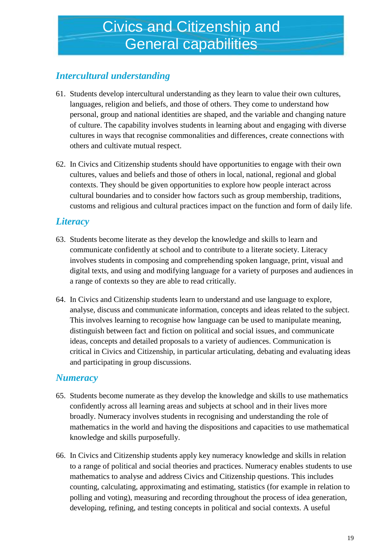### *Intercultural understanding*

- 61. Students develop intercultural understanding as they learn to value their own cultures, languages, religion and beliefs, and those of others. They come to understand how personal, group and national identities are shaped, and the variable and changing nature of culture. The capability involves students in learning about and engaging with diverse cultures in ways that recognise commonalities and differences, create connections with others and cultivate mutual respect.
- 62. In Civics and Citizenship students should have opportunities to engage with their own cultures, values and beliefs and those of others in local, national, regional and global contexts. They should be given opportunities to explore how people interact across cultural boundaries and to consider how factors such as group membership, traditions, customs and religious and cultural practices impact on the function and form of daily life.

#### *Literacy*

- 63. Students become literate as they develop the knowledge and skills to learn and communicate confidently at school and to contribute to a literate society. Literacy involves students in composing and comprehending spoken language, print, visual and digital texts, and using and modifying language for a variety of purposes and audiences in a range of contexts so they are able to read critically.
- 64. In Civics and Citizenship students learn to understand and use language to explore, analyse, discuss and communicate information, concepts and ideas related to the subject. This involves learning to recognise how language can be used to manipulate meaning, distinguish between fact and fiction on political and social issues, and communicate ideas, concepts and detailed proposals to a variety of audiences. Communication is critical in Civics and Citizenship, in particular articulating, debating and evaluating ideas and participating in group discussions.

#### *Numeracy*

- 65. Students become numerate as they develop the knowledge and skills to use mathematics confidently across all learning areas and subjects at school and in their lives more broadly. Numeracy involves students in recognising and understanding the role of mathematics in the world and having the dispositions and capacities to use mathematical knowledge and skills purposefully.
- 66. In Civics and Citizenship students apply key numeracy knowledge and skills in relation to a range of political and social theories and practices. Numeracy enables students to use mathematics to analyse and address Civics and Citizenship questions. This includes counting, calculating, approximating and estimating, statistics (for example in relation to polling and voting), measuring and recording throughout the process of idea generation, developing, refining, and testing concepts in political and social contexts. A useful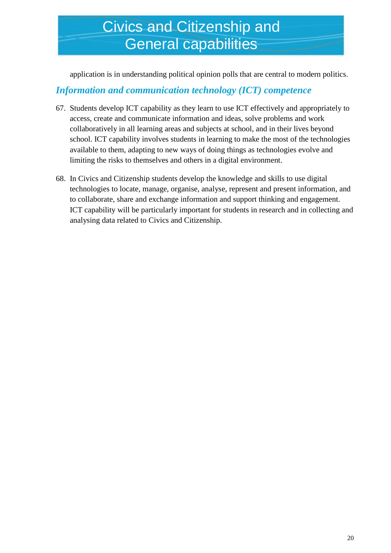### Civics and Citizenship and General capabilities

application is in understanding political opinion polls that are central to modern politics.

#### *Information and communication technology (ICT) competence*

- 67. Students develop ICT capability as they learn to use ICT effectively and appropriately to access, create and communicate information and ideas, solve problems and work collaboratively in all learning areas and subjects at school, and in their lives beyond school. ICT capability involves students in learning to make the most of the technologies available to them, adapting to new ways of doing things as technologies evolve and limiting the risks to themselves and others in a digital environment.
- 68. In Civics and Citizenship students develop the knowledge and skills to use digital technologies to locate, manage, organise, analyse, represent and present information, and to collaborate, share and exchange information and support thinking and engagement. ICT capability will be particularly important for students in research and in collecting and analysing data related to Civics and Citizenship.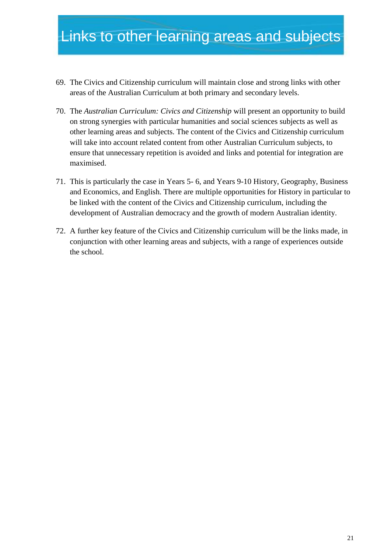- 69. The Civics and Citizenship curriculum will maintain close and strong links with other areas of the Australian Curriculum at both primary and secondary levels.
- 70. The *Australian Curriculum: Civics and Citizenship* will present an opportunity to build on strong synergies with particular humanities and social sciences subjects as well as other learning areas and subjects. The content of the Civics and Citizenship curriculum will take into account related content from other Australian Curriculum subjects, to ensure that unnecessary repetition is avoided and links and potential for integration are maximised.
- 71. This is particularly the case in Years 5- 6, and Years 9-10 History, Geography, Business and Economics, and English. There are multiple opportunities for History in particular to be linked with the content of the Civics and Citizenship curriculum, including the development of Australian democracy and the growth of modern Australian identity.
- 72. A further key feature of the Civics and Citizenship curriculum will be the links made, in conjunction with other learning areas and subjects, with a range of experiences outside the school.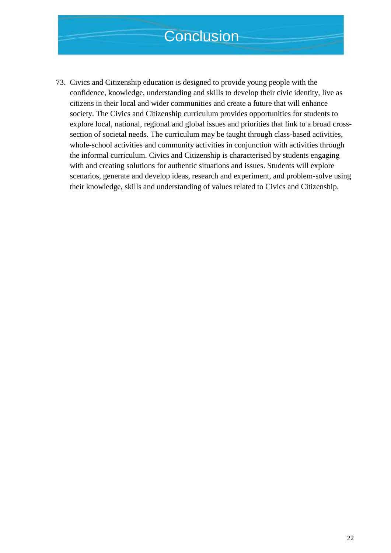### **Conclusion**

73. Civics and Citizenship education is designed to provide young people with the confidence, knowledge, understanding and skills to develop their civic identity, live as citizens in their local and wider communities and create a future that will enhance society. The Civics and Citizenship curriculum provides opportunities for students to explore local, national, regional and global issues and priorities that link to a broad crosssection of societal needs. The curriculum may be taught through class-based activities, whole-school activities and community activities in conjunction with activities through the informal curriculum. Civics and Citizenship is characterised by students engaging with and creating solutions for authentic situations and issues. Students will explore scenarios, generate and develop ideas, research and experiment, and problem-solve using their knowledge, skills and understanding of values related to Civics and Citizenship.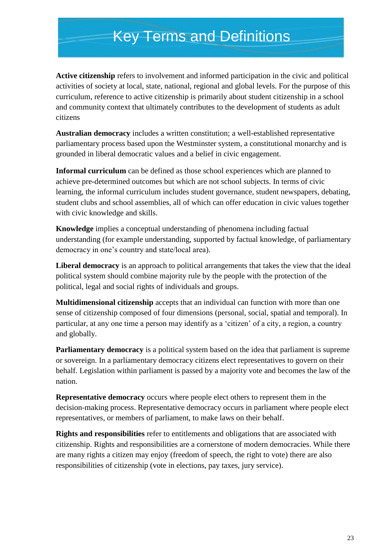### Key Terms and Definitions

**Active citizenship** refers to involvement and informed participation in the civic and political activities of society at local, state, national, regional and global levels. For the purpose of this curriculum, reference to active citizenship is primarily about student citizenship in a school and community context that ultimately contributes to the development of students as adult citizens

**Australian democracy** includes a written constitution; a well-established representative parliamentary process based upon the Westminster system, a constitutional monarchy and is grounded in liberal democratic values and a belief in civic engagement.

**Informal curriculum** can be defined as those school experiences which are planned to achieve pre-determined outcomes but which are not school subjects. In terms of civic learning, the informal curriculum includes student governance, student newspapers, debating, student clubs and school assemblies, all of which can offer education in civic values together with civic knowledge and skills.

**Knowledge** implies a conceptual understanding of phenomena including factual understanding (for example understanding, supported by factual knowledge, of parliamentary democracy in one's country and state/local area).

**Liberal democracy** is an approach to political arrangements that takes the view that the ideal political system should combine majority rule by the people with the protection of the political, legal and social rights of individuals and groups.

**Multidimensional citizenship** accepts that an individual can function with more than one sense of citizenship composed of four dimensions (personal, social, spatial and temporal). In particular, at any one time a person may identify as a 'citizen' of a city, a region, a country and globally.

**Parliamentary democracy** is a political system based on the idea that parliament is supreme or sovereign. In a parliamentary democracy citizens elect representatives to govern on their behalf. Legislation within parliament is passed by a majority vote and becomes the law of the nation.

**Representative democracy** occurs where people elect others to represent them in the decision-making process. Representative democracy occurs in parliament where people elect representatives, or members of parliament, to make laws on their behalf.

**Rights and responsibilities** refer to entitlements and obligations that are associated with citizenship. Rights and responsibilities are a cornerstone of modern democracies. While there are many rights a citizen may enjoy (freedom of speech, the right to vote) there are also responsibilities of citizenship (vote in elections, pay taxes, jury service).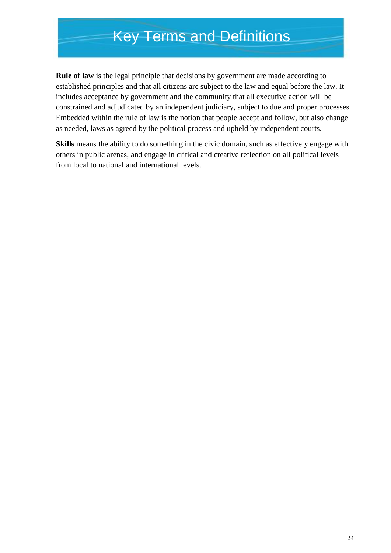### Key Terms and Definitions

**Rule of law** is the legal principle that decisions by government are made according to established principles and that all citizens are subject to the law and equal before the law. It includes acceptance by government and the community that all executive action will be constrained and adjudicated by an independent judiciary, subject to due and proper processes. Embedded within the rule of law is the notion that people accept and follow, but also change as needed, laws as agreed by the political process and upheld by independent courts.

**Skills** means the ability to do something in the civic domain, such as effectively engage with others in public arenas, and engage in critical and creative reflection on all political levels from local to national and international levels.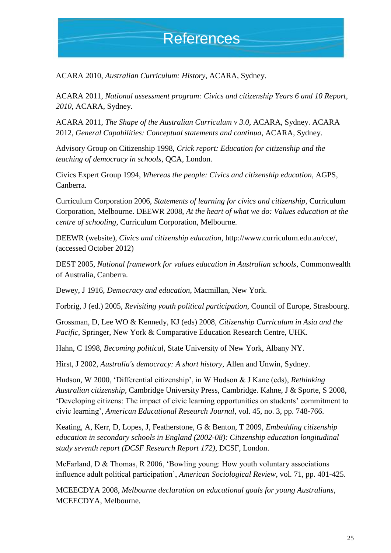### References

ACARA 2010, *Australian Curriculum: History*, ACARA, Sydney.

ACARA 2011, *National assessment program: Civics and citizenship Years 6 and 10 Report, 2010*, ACARA, Sydney.

ACARA 2011, *The Shape of the Australian Curriculum v 3.0*, ACARA, Sydney. ACARA 2012, *General Capabilities: Conceptual statements and continua*, ACARA, Sydney.

Advisory Group on Citizenship 1998, *Crick report: Education for citizenship and the teaching of democracy in schools*, QCA, London.

Civics Expert Group 1994, *Whereas the people: Civics and citizenship education*, AGPS, Canberra.

Curriculum Corporation 2006, *Statements of learning for civics and citizenship*, Curriculum Corporation, Melbourne. DEEWR 2008, *At the heart of what we do: Values education at the centre of schooling*, Curriculum Corporation, Melbourne.

DEEWR (website), *Civics and citizenship education*, http://www.curriculum.edu.au/cce/, (accessed October 2012)

DEST 2005, *National framework for values education in Australian schools*, Commonwealth of Australia, Canberra.

Dewey, J 1916, *Democracy and education*, Macmillan, New York.

Forbrig, J (ed.) 2005, *Revisiting youth political participation*, Council of Europe, Strasbourg.

Grossman, D, Lee WO & Kennedy, KJ (eds) 2008, *Citizenship Curriculum in Asia and the Pacific*, Springer, New York & Comparative Education Research Centre, UHK.

Hahn, C 1998, *Becoming political*, State University of New York, Albany NY.

Hirst, J 2002, *Australia's democracy: A short history,* Allen and Unwin, Sydney.

Hudson, W 2000, 'Differential citizenship', in W Hudson & J Kane (eds), *Rethinking Australian citizenship*, Cambridge University Press, Cambridge. Kahne, J & Sporte, S 2008, 'Developing citizens: The impact of civic learning opportunities on students' commitment to civic learning', *American Educational Research Journal*, vol. 45, no. 3, pp. 748-766.

Keating, A, Kerr, D, Lopes, J, Featherstone, G & Benton, T 2009, *Embedding citizenship education in secondary schools in England (2002-08): Citizenship education longitudinal study seventh report (DCSF Research Report 172)*, DCSF, London.

McFarland, D & Thomas, R 2006, 'Bowling young: How youth voluntary associations influence adult political participation', *American Sociological Review*, vol. 71, pp. 401-425.

MCEECDYA 2008, *Melbourne declaration on educational goals for young Australians*, MCEECDYA, Melbourne.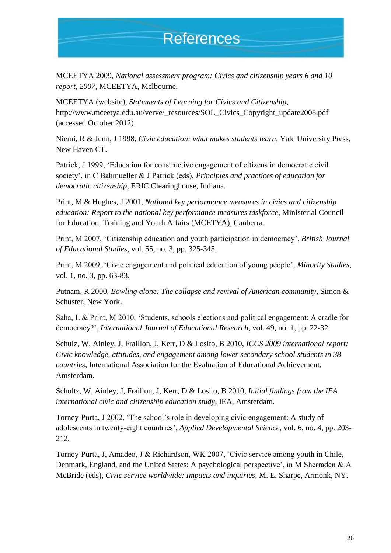### **References**

MCEETYA 2009, *National assessment program: Civics and citizenship years 6 and 10 report, 2007*, MCEETYA, Melbourne.

MCEETYA (website), *Statements of Learning for Civics and Citizenship*, http://www.mceetya.edu.au/verve/\_resources/SOL\_Civics\_Copyright\_update2008.pdf (accessed October 2012)

Niemi, R & Junn, J 1998, *Civic education: what makes students learn*, Yale University Press, New Haven CT.

Patrick, J 1999, 'Education for constructive engagement of citizens in democratic civil society', in C Bahmueller & J Patrick (eds), *Principles and practices of education for democratic citizenship*, ERIC Clearinghouse, Indiana.

Print, M & Hughes, J 2001, *National key performance measures in civics and citizenship education: Report to the national key performance measures taskforce*, Ministerial Council for Education, Training and Youth Affairs (MCETYA), Canberra.

Print, M 2007, 'Citizenship education and youth participation in democracy', *British Journal of Educational Studies*, vol. 55, no. 3, pp. 325-345.

Print, M 2009, 'Civic engagement and political education of young people', *Minority Studies*, vol. 1, no. 3, pp. 63-83.

Putnam, R 2000, *Bowling alone: The collapse and revival of American community*, Simon & Schuster, New York.

Saha, L & Print, M 2010, 'Students, schools elections and political engagement: A cradle for democracy?', *International Journal of Educational Research*, vol. 49, no. 1, pp. 22-32.

Schulz, W, Ainley, J, Fraillon, J, Kerr, D & Losito, B 2010, *ICCS 2009 international report: Civic knowledge, attitudes, and engagement among lower secondary school students in 38 countries*, International Association for the Evaluation of Educational Achievement, Amsterdam.

Schultz, W, Ainley, J, Fraillon, J, Kerr, D & Losito, B 2010*, Initial findings from the IEA international civic and citizenship education study*, IEA, Amsterdam.

Torney-Purta, J 2002, 'The school's role in developing civic engagement: A study of adolescents in twenty-eight countries', *Applied Developmental Science*, vol. 6, no. 4, pp. 203- 212.

Torney-Purta, J, Amadeo, J & Richardson, WK 2007, 'Civic service among youth in Chile, Denmark, England, and the United States: A psychological perspective', in M Sherraden & A McBride (eds), *Civic service worldwide: Impacts and inquiries*, M. E. Sharpe, Armonk, NY.